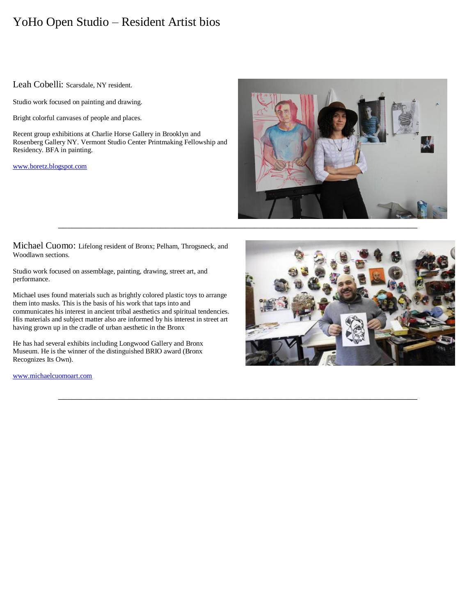# YoHo Open Studio – Resident Artist bios

# Leah Cobelli: Scarsdale, NY resident.

Studio work focused on painting and drawing.

Bright colorful canvases of people and places.

Recent group exhibitions at Charlie Horse Gallery in Brooklyn and Rosenberg Gallery NY. Vermont Studio Center Printmaking Fellowship and Residency. BFA in painting.

[www.boretz.blogspot.com](http://www.boretz.blogspot.com/)



Michael Cuomo: Lifelong resident of Bronx; Pelham, Throgsneck, and Woodlawn sections.

Studio work focused on assemblage, painting, drawing, street art, and performance.

Michael uses found materials such as brightly colored plastic toys to arrange them into masks. This is the basis of his work that taps into and communicates his interest in ancient tribal aesthetics and spiritual tendencies. His materials and subject matter also are informed by his interest in street art having grown up in the cradle of urban aesthetic in the Bronx

He has had several exhibits including Longwood Gallery and Bronx Museum. He is the winner of the distinguished BRIO award (Bronx Recognizes Its Own).

[www.michaelcuomoart.com](http://www.michaelcuomoart.com/)



\_\_\_\_\_\_\_\_\_\_\_\_\_\_\_\_\_\_\_\_\_\_\_\_\_\_\_\_\_\_\_\_\_\_\_\_\_\_\_\_\_\_\_\_\_\_\_\_\_\_\_\_\_\_\_\_\_\_\_\_\_\_\_\_\_\_\_\_\_\_\_\_\_\_\_\_\_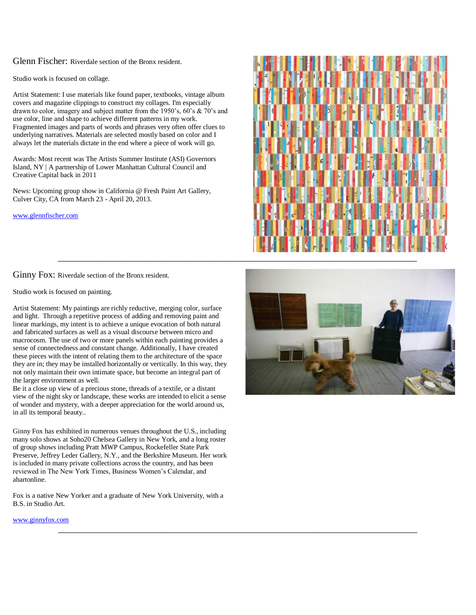Glenn Fischer: Riverdale section of the Bronx resident.

Studio work is focused on collage.

Artist Statement: I use materials like found paper, textbooks, vintage album covers and magazine clippings to construct my collages. I'm especially drawn to color, imagery and subject matter from the 1950's, 60's & 70's and use color, line and shape to achieve different patterns in my work. Fragmented images and parts of words and phrases very often offer clues to underlying narratives. Materials are selected mostly based on color and I always let the materials dictate in the end where a piece of work will go.

Awards: Most recent was The Artists Summer Institute (ASI) Governors Island, NY | A partnership of Lower Manhattan Cultural Council and Creative Capital back in 2011

News: Upcoming group show in California @ Fresh Paint Art Gallery, Culver City, CA from March 23 - April 20, 2013.

[www.glennfischer.com](http://www.glennfischer.com/)

Ginny Fox: Riverdale section of the Bronx resident.

Studio work is focused on painting.

Artist Statement: My paintings are richly reductive, merging color, surface and light. Through a repetitive process of adding and removing paint and linear markings, my intent is to achieve a unique evocation of both natural and fabricated surfaces as well as a visual discourse between micro and macrocosm. The use of two or more panels within each painting provides a sense of connectedness and constant change. Additionally, I have created these pieces with the intent of relating them to the architecture of the space they are in; they may be installed horizontally or vertically. In this way, they not only maintain their own intimate space, but become an integral part of the larger environment as well.

Be it a close up view of a precious stone, threads of a textile, or a distant view of the night sky or landscape, these works are intended to elicit a sense of wonder and mystery, with a deeper appreciation for the world around us, in all its temporal beauty..

Ginny Fox has exhibited in numerous venues throughout the U.S., including many solo shows at Soho20 Chelsea Gallery in New York, and a long roster of group shows including Pratt MWP Campus, Rockefeller State Park Preserve, Jeffrey Leder Gallery, N.Y., and the Berkshire Museum. Her work is included in many private collections across the country, and has been reviewed in The New York Times, Business Women's Calendar, and abartonline.

Fox is a native New Yorker and a graduate of New York University, with a B.S. in Studio Art.

\_\_\_\_\_\_\_\_\_\_\_\_\_\_\_\_\_\_\_\_\_\_\_\_\_\_\_\_\_\_\_\_\_\_\_\_\_\_\_\_\_\_\_\_\_\_\_\_\_\_\_\_\_\_\_\_\_\_\_\_\_\_\_\_\_\_\_\_\_\_\_\_\_\_\_\_\_

[www.ginnyfox.com](http://www.ginnyfox.com/)



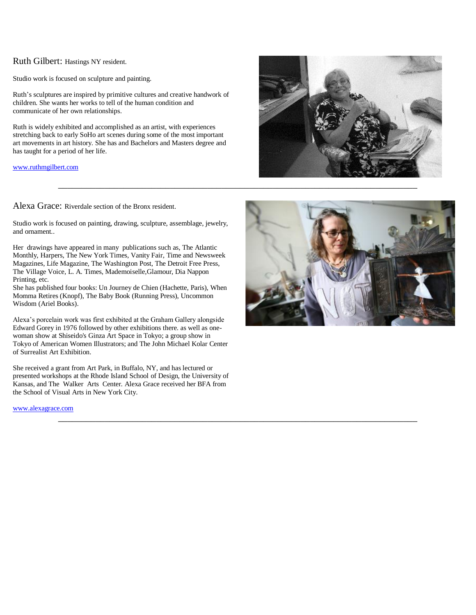# Ruth Gilbert: Hastings NY resident.

Studio work is focused on sculpture and painting.

Ruth's sculptures are inspired by primitive cultures and creative handwork of children. She wants her works to tell of the human condition and communicate of her own relationships.

Ruth is widely exhibited and accomplished as an artist, with experiences stretching back to early SoHo art scenes during some of the most important art movements in art history. She has and Bachelors and Masters degree and has taught for a period of her life.

[www.ruthmgilbert.com](http://www.ruthmgilbert.com/)

Alexa Grace: Riverdale section of the Bronx resident.

Studio work is focused on painting, drawing, sculpture, assemblage, jewelry, and ornament..

Her drawings have appeared in many publications such as, The Atlantic Monthly, Harpers, The New York Times, Vanity Fair, Time and Newsweek Magazines, Life Magazine, The Washington Post, The Detroit Free Press, The Village Voice, L. A. Times, Mademoiselle,Glamour, Dia Nappon Printing, etc.

She has published four books: Un Journey de Chien (Hachette, Paris), When Momma Retires (Knopf), The Baby Book (Running Press), Uncommon Wisdom (Ariel Books).

Alexa's porcelain work was first exhibited at the Graham Gallery alongside Edward Gorey in 1976 followed by other exhibitions there. as well as onewoman show at Shiseido's Ginza Art Space in Tokyo; a group show in Tokyo of American Women Illustrators; and The John Michael Kolar Center of Surrealist Art Exhibition.

She received a grant from Art Park, in Buffalo, NY, and has lectured or presented workshops at the Rhode Island School of Design, the University of Kansas, and The Walker Arts Center. Alexa Grace received her BFA from the School of Visual Arts in New York City.

\_\_\_\_\_\_\_\_\_\_\_\_\_\_\_\_\_\_\_\_\_\_\_\_\_\_\_\_\_\_\_\_\_\_\_\_\_\_\_\_\_\_\_\_\_\_\_\_\_\_\_\_\_\_\_\_\_\_\_\_\_\_\_\_\_\_\_\_\_\_\_\_\_\_\_\_\_

[www.alexagrace.com](http://www.alexagrace.com/)



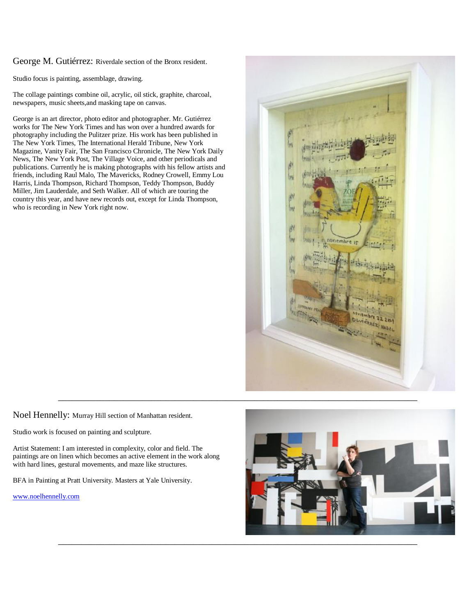George M. Gutiérrez: Riverdale section of the Bronx resident.

Studio focus is painting, assemblage, drawing.

The collage paintings combine oil, acrylic, oil stick, graphite, charcoal, newspapers, music sheets,and masking tape on canvas.

George is an art director, photo editor and photographer. Mr. Gutiérrez works for The New York Times and has won over a hundred awards for photography including the Pulitzer prize. His work has been published in The New York Times, The International Herald Tribune, New York Magazine, Vanity Fair, The San Francisco Chronicle, The New York Daily News, The New York Post, The Village Voice, and other periodicals and publications. Currently he is making photographs with his fellow artists and friends, including Raul Malo, The Mavericks, Rodney Crowell, Emmy Lou Harris, Linda Thompson, Richard Thompson, Teddy Thompson, Buddy Miller, Jim Lauderdale, and Seth Walker. All of which are touring the country this year, and have new records out, except for Linda Thompson, who is recording in New York right now.



Noel Hennelly: Murray Hill section of Manhattan resident.

Studio work is focused on painting and sculpture.

Artist Statement: I am interested in complexity, color and field. The paintings are on linen which becomes an active element in the work along with hard lines, gestural movements, and maze like structures.

BFA in Painting at Pratt University. Masters at Yale University.

[www.noelhennelly.com](http://www.noelhennelly.com/)

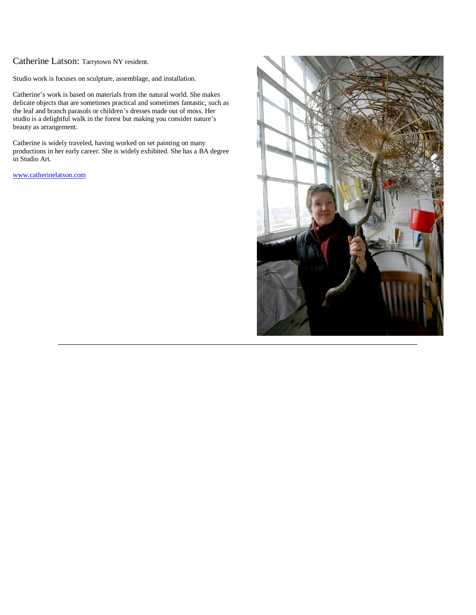# Catherine Latson: Tarrytown NY resident.

Studio work is focuses on sculpture, assemblage, and installation.

Catherine's work is based on materials from the natural world. She makes delicate objects that are sometimes practical and sometimes fantastic, such as the leaf and branch parasols or children's dresses made out of moss. Her studio is a delightful walk in the forest but making you consider nature's beauty as arrangement.

Catherine is widely traveled, having worked on set painting on many productions in her early career. She is widely exhibited. She has a BA degree in Studio Art.

[www.catherinelatson.com](http://www.catherinelatson.com/)

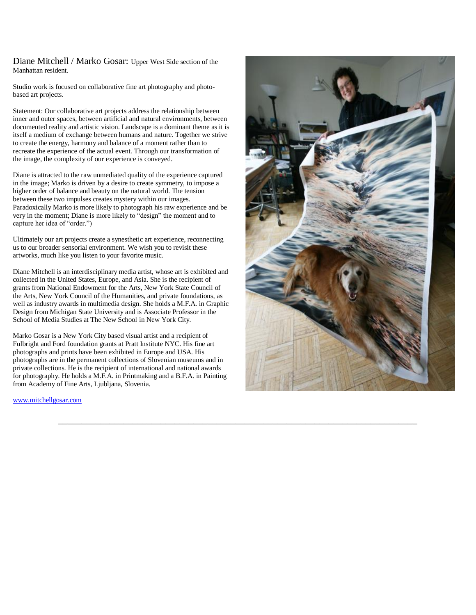Diane Mitchell / Marko Gosar: Upper West Side section of the Manhattan resident.

Studio work is focused on collaborative fine art photography and photobased art projects.

Statement: Our collaborative art projects address the relationship between inner and outer spaces, between artificial and natural environments, between documented reality and artistic vision. Landscape is a dominant theme as it is itself a medium of exchange between humans and nature. Together we strive to create the energy, harmony and balance of a moment rather than to recreate the experience of the actual event. Through our transformation of the image, the complexity of our experience is conveyed.

Diane is attracted to the raw unmediated quality of the experience captured in the image; Marko is driven by a desire to create symmetry, to impose a higher order of balance and beauty on the natural world. The tension between these two impulses creates mystery within our images. Paradoxically Marko is more likely to photograph his raw experience and be very in the moment; Diane is more likely to "design" the moment and to capture her idea of "order.")

Ultimately our art projects create a synesthetic art experience, reconnecting us to our broader sensorial environment. We wish you to revisit these artworks, much like you listen to your favorite music.

Diane Mitchell is an interdisciplinary media artist, whose art is exhibited and collected in the United States, Europe, and Asia. She is the recipient of grants from National Endowment for the Arts, New York State Council of the Arts, New York Council of the Humanities, and private foundations, as well as industry awards in multimedia design. She holds a M.F.A. in Graphic Design from Michigan State University and is Associate Professor in the School of Media Studies at The New School in New York City.

Marko Gosar is a New York City based visual artist and a recipient of Fulbright and Ford foundation grants at Pratt Institute NYC. His fine art photographs and prints have been exhibited in Europe and USA. His photographs are in the permanent collections of Slovenian museums and in private collections. He is the recipient of international and national awards for photography. He holds a M.F.A. in Printmaking and a B.F.A. in Painting from Academy of Fine Arts, Ljubljana, Slovenia.

\_\_\_\_\_\_\_\_\_\_\_\_\_\_\_\_\_\_\_\_\_\_\_\_\_\_\_\_\_\_\_\_\_\_\_\_\_\_\_\_\_\_\_\_\_\_\_\_\_\_\_\_\_\_\_\_\_\_\_\_\_\_\_\_\_\_\_\_\_\_\_\_\_\_\_\_\_

[www.mitchellgosar.com](http://www.mitchellgosar.com/)

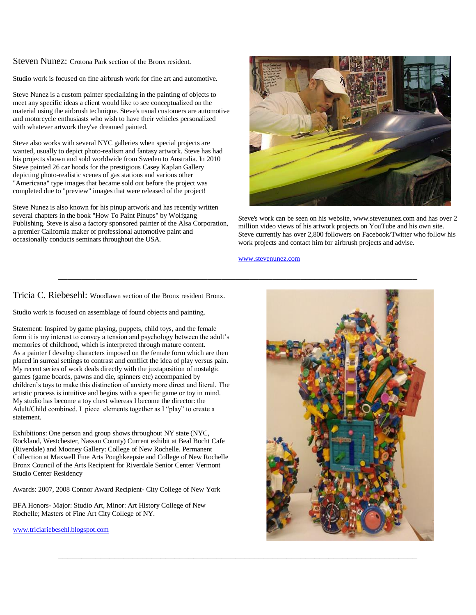Steven Nunez: Crotona Park section of the Bronx resident.

Studio work is focused on fine airbrush work for fine art and automotive.

Steve Nunez is a custom painter specializing in the painting of objects to meet any specific ideas a client would like to see conceptualized on the material using the airbrush technique. Steve's usual customers are automotive and motorcycle enthusiasts who wish to have their vehicles personalized with whatever artwork they've dreamed painted.

Steve also works with several NYC galleries when special projects are wanted, usually to depict photo-realism and fantasy artwork. Steve has had his projects shown and sold worldwide from Sweden to Australia. In 2010 Steve painted 26 car hoods for the prestigious Casey Kaplan Gallery depicting photo-realistic scenes of gas stations and various other "Americana" type images that became sold out before the project was completed due to "preview" images that were released of the project!

Steve Nunez is also known for his pinup artwork and has recently written several chapters in the book "How To Paint Pinups" by Wolfgang Publishing. Steve is also a factory sponsored painter of the Alsa Corporation, a premier California maker of professional automotive paint and occasionally conducts seminars throughout the USA.



Steve's work can be seen on his website, www.stevenunez.com and has over 2 million video views of his artwork projects on YouTube and his own site. Steve currently has over 2,800 followers on Facebook/Twitter who follow his work projects and contact him for airbrush projects and advise.

#### [www.stevenunez.com](http://www.stevenunez.com/)

# Tricia C. Riebesehl: Woodlawn section of the Bronx resident Bronx.

Studio work is focused on assemblage of found objects and painting.

Statement: Inspired by game playing, puppets, child toys, and the female form it is my interest to convey a tension and psychology between the adult's memories of childhood, which is interpreted through mature content. As a painter I develop characters imposed on the female form which are then placed in surreal settings to contrast and conflict the idea of play versus pain. My recent series of work deals directly with the juxtaposition of nostalgic games (game boards, pawns and die, spinners etc) accompanied by children's toys to make this distinction of anxiety more direct and literal. The artistic process is intuitive and begins with a specific game or toy in mind. My studio has become a toy chest whereas I become the director: the Adult/Child combined. I piece elements together as I "play" to create a statement.

Exhibitions: One person and group shows throughout NY state (NYC, Rockland, Westchester, Nassau County) Current exhibit at Beal Bocht Cafe (Riverdale) and Mooney Gallery: College of New Rochelle. Permanent Collection at Maxwell Fine Arts Poughkeepsie and College of New Rochelle Bronx Council of the Arts Recipient for Riverdale Senior Center Vermont Studio Center Residency

Awards: 2007, 2008 Connor Award Recipient- City College of New York

BFA Honors- Major: Studio Art, Minor: Art History College of New Rochelle; Masters of Fine Art City College of NY.

[www.triciariebesehl.blogspot.com](http://www.triciariebesehl.blogspot.com/)

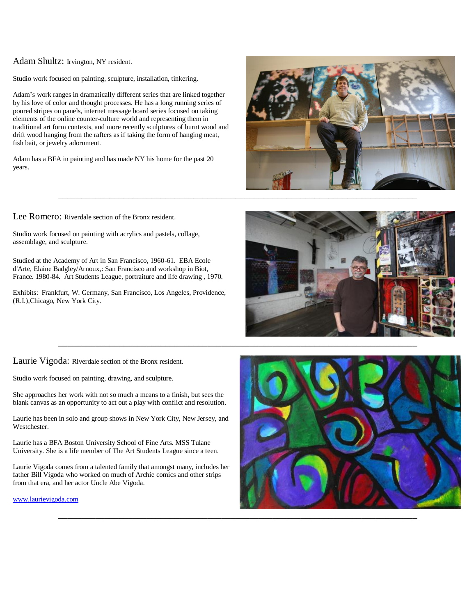### Adam Shultz: Irvington, NY resident.

Studio work focused on painting, sculpture, installation, tinkering.

Adam's work ranges in dramatically different series that are linked together by his love of color and thought processes. He has a long running series of poured stripes on panels, internet message board series focused on taking elements of the online counter-culture world and representing them in traditional art form contexts, and more recently sculptures of burnt wood and drift wood hanging from the rafters as if taking the form of hanging meat, fish bait, or jewelry adornment.

Adam has a BFA in painting and has made NY his home for the past 20 years.



Lee Romero: Riverdale section of the Bronx resident.

Studio work focused on painting with acrylics and pastels, collage, assemblage, and sculpture.

Studied at the Academy of Art in San Francisco, 1960-61. EBA Ecole d'Arte, Elaine Badgley/Arnoux,: San Francisco and workshop in Biot, France. 1980-84. Art Students League, portraiture and life drawing , 1970.

Exhibits: Frankfurt, W. Germany, San Francisco, Los Angeles, Providence, (R.I.),Chicago, New York City.



Laurie Vigoda: Riverdale section of the Bronx resident.

Studio work focused on painting, drawing, and sculpture.

She approaches her work with not so much a means to a finish, but sees the blank canvas as an opportunity to act out a play with conflict and resolution.

Laurie has been in solo and group shows in New York City, New Jersey, and Westchester.

Laurie has a BFA Boston University School of Fine Arts. MSS Tulane University. She is a life member of The Art Students League since a teen.

Laurie Vigoda comes from a talented family that amongst many, includes her father Bill Vigoda who worked on much of Archie comics and other strips from that era, and her actor Uncle Abe Vigoda.

[www.laurievigoda.com](http://www.laurievigoda.com/)

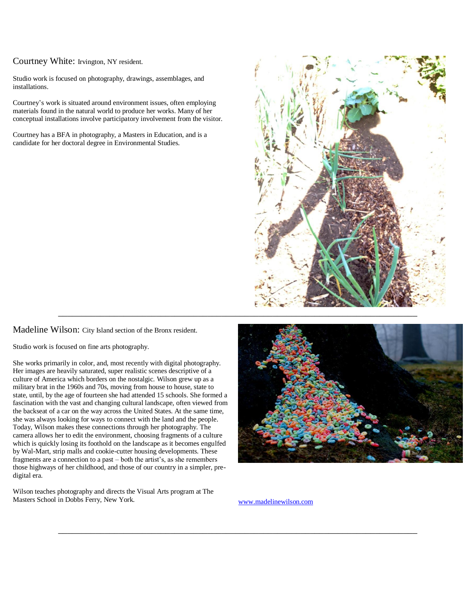Courtney White: Irvington, NY resident.

Studio work is focused on photography, drawings, assemblages, and installations.

Courtney's work is situated around environment issues, often employing materials found in the natural world to produce her works. Many of her conceptual installations involve participatory involvement from the visitor.

Courtney has a BFA in photography, a Masters in Education, and is a candidate for her doctoral degree in Environmental Studies.



Madeline Wilson: City Island section of the Bronx resident.

Studio work is focused on fine arts photography.

She works primarily in color, and, most recently with digital photography. Her images are heavily saturated, super realistic scenes descriptive of a culture of America which borders on the nostalgic. Wilson grew up as a military brat in the 1960s and 70s, moving from house to house, state to state, until, by the age of fourteen she had attended 15 schools. She formed a fascination with the vast and changing cultural landscape, often viewed from the backseat of a car on the way across the United States. At the same time, she was always looking for ways to connect with the land and the people. Today, Wilson makes these connections through her photography. The camera allows her to edit the environment, choosing fragments of a culture which is quickly losing its foothold on the landscape as it becomes engulfed by Wal-Mart, strip malls and cookie-cutter housing developments. These fragments are a connection to a past – both the artist's, as she remembers those highways of her childhood, and those of our country in a simpler, predigital era.

Wilson teaches photography and directs the Visual Arts program at The Masters School in Dobbs Ferry, New York. [www.madelinewilson.com](http://www.madelinewilson.com/)



\_\_\_\_\_\_\_\_\_\_\_\_\_\_\_\_\_\_\_\_\_\_\_\_\_\_\_\_\_\_\_\_\_\_\_\_\_\_\_\_\_\_\_\_\_\_\_\_\_\_\_\_\_\_\_\_\_\_\_\_\_\_\_\_\_\_\_\_\_\_\_\_\_\_\_\_\_